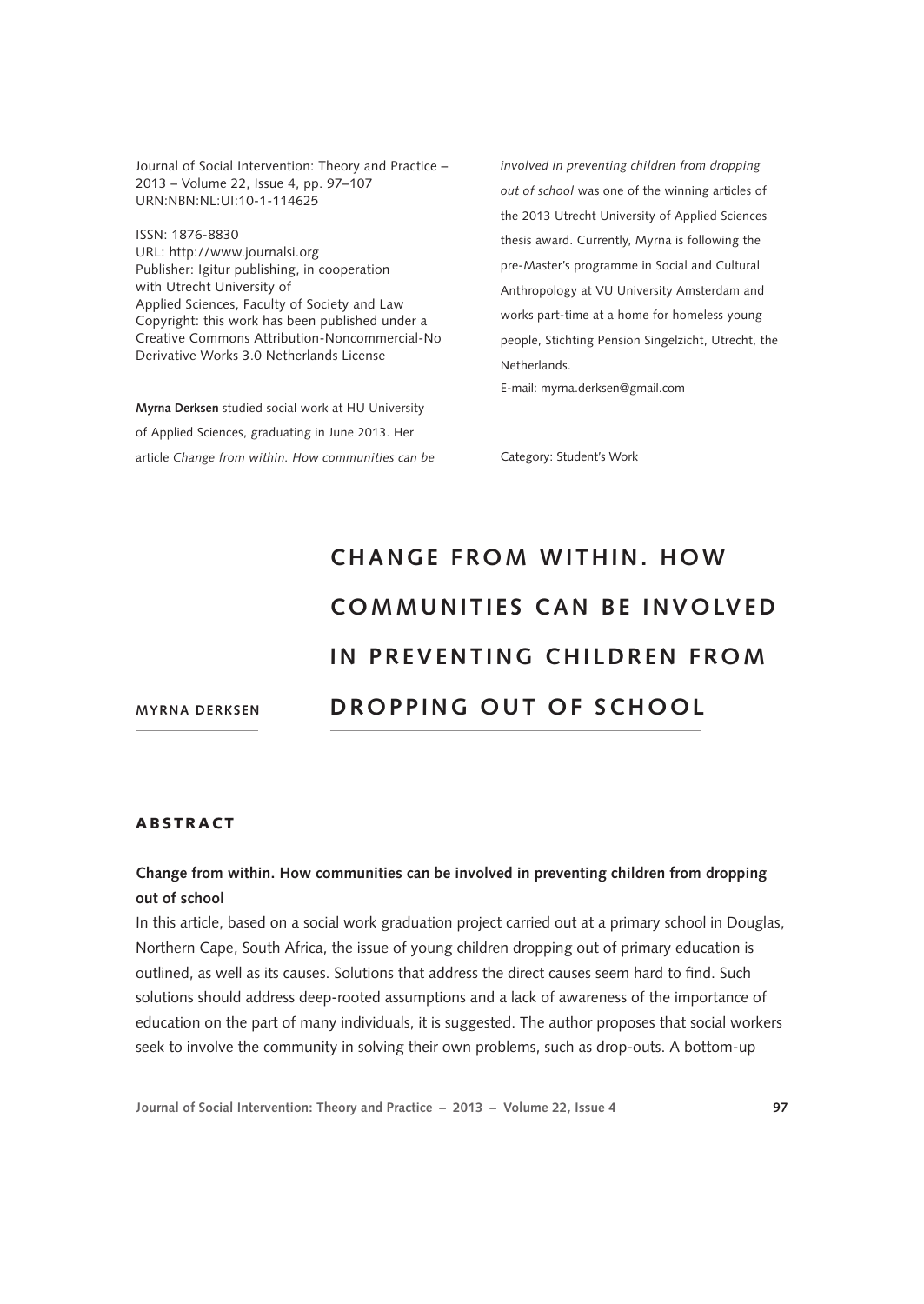Journal of Social Intervention: Theory and Practice – 2013 – Volume 22, Issue 4, pp. 97–107 URN:NBN:NL:UI:10-1-114625

ISSN: 1876-8830 [URL: http://www.journalsi.org](http://www.journalsi.org) Publisher: Igitur publishing, in cooperation with Utrecht University of Applied Sciences, Faculty of Society and Law Copyright: this work has been published under a Creative Commons Attribution-Noncommercial-No Derivative Works 3.0 Netherlands License

**Myrna Derksen** studied social work at HU University of Applied Sciences, graduating in June 2013. Her article *Change from within. How communities can be*  *involved in preventing children from dropping out of school* was one of the winning articles of the 2013 Utrecht University of Applied Sciences thesis award. Currently, Myrna is following the pre-Master's programme in Social and Cultural Anthropology at VU University Amsterdam and works part-time at a home for homeless young people, Stichting Pension Singelzicht, Utrecht, the Netherlands.

E-mail: myrna.derksen@gmail.com

Category: Student's Work

# **CHANGE FROM WITHIN. HOW COMMUNITIES CAN BE INVOLVED IN PREVENTING CHILDREN FROM DR OPPING OUT OF SCHOOL**

**Myrna Derksen**

#### ABSTRACT

# **Change from within. How communities can be involved in preventing children from dropping out of school**

In this article, based on a social work graduation project carried out at a primary school in Douglas, Northern Cape, South Africa, the issue of young children dropping out of primary education is outlined, as well as its causes. Solutions that address the direct causes seem hard to find. Such solutions should address deep-rooted assumptions and a lack of awareness of the importance of education on the part of many individuals, it is suggested. The author proposes that social workers seek to involve the community in solving their own problems, such as drop-outs. A bottom-up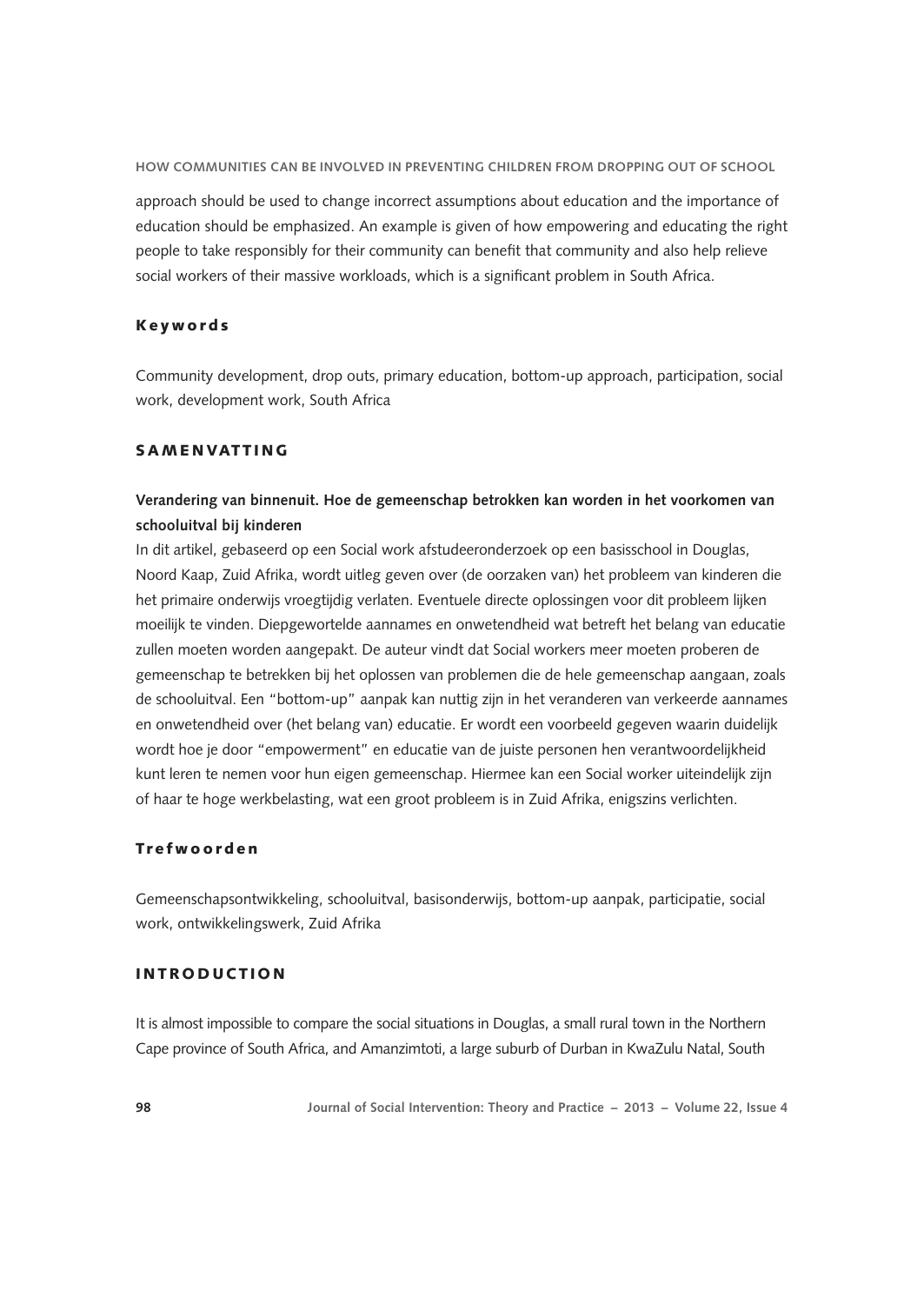approach should be used to change incorrect assumptions about education and the importance of education should be emphasized. An example is given of how empowering and educating the right people to take responsibly for their community can benefit that community and also help relieve social workers of their massive workloads, which is a significant problem in South Africa.

## Keywords

Community development, drop outs, primary education, bottom-up approach, participation, social work, development work, South Africa

## **SAMENVATTING**

# **Verandering van binnenuit. Hoe de gemeenschap betrokken kan worden in het voorkomen van schooluitval bij kinderen**

In dit artikel, gebaseerd op een Social work afstudeeronderzoek op een basisschool in Douglas, Noord Kaap, Zuid Afrika, wordt uitleg geven over (de oorzaken van) het probleem van kinderen die het primaire onderwijs vroegtijdig verlaten. Eventuele directe oplossingen voor dit probleem lijken moeilijk te vinden. Diepgewortelde aannames en onwetendheid wat betreft het belang van educatie zullen moeten worden aangepakt. De auteur vindt dat Social workers meer moeten proberen de gemeenschap te betrekken bij het oplossen van problemen die de hele gemeenschap aangaan, zoals de schooluitval. Een "bottom-up" aanpak kan nuttig zijn in het veranderen van verkeerde aannames en onwetendheid over (het belang van) educatie. Er wordt een voorbeeld gegeven waarin duidelijk wordt hoe je door "empowerment" en educatie van de juiste personen hen verantwoordelijkheid kunt leren te nemen voor hun eigen gemeenschap. Hiermee kan een Social worker uiteindelijk zijn of haar te hoge werkbelasting, wat een groot probleem is in Zuid Afrika, enigszins verlichten.

#### Trefwoorden

Gemeenschapsontwikkeling, schooluitval, basisonderwijs, bottom-up aanpak, participatie, social work, ontwikkelingswerk, Zuid Afrika

# INTRODUCTION

It is almost impossible to compare the social situations in Douglas, a small rural town in the Northern Cape province of South Africa, and Amanzimtoti, a large suburb of Durban in KwaZulu Natal, South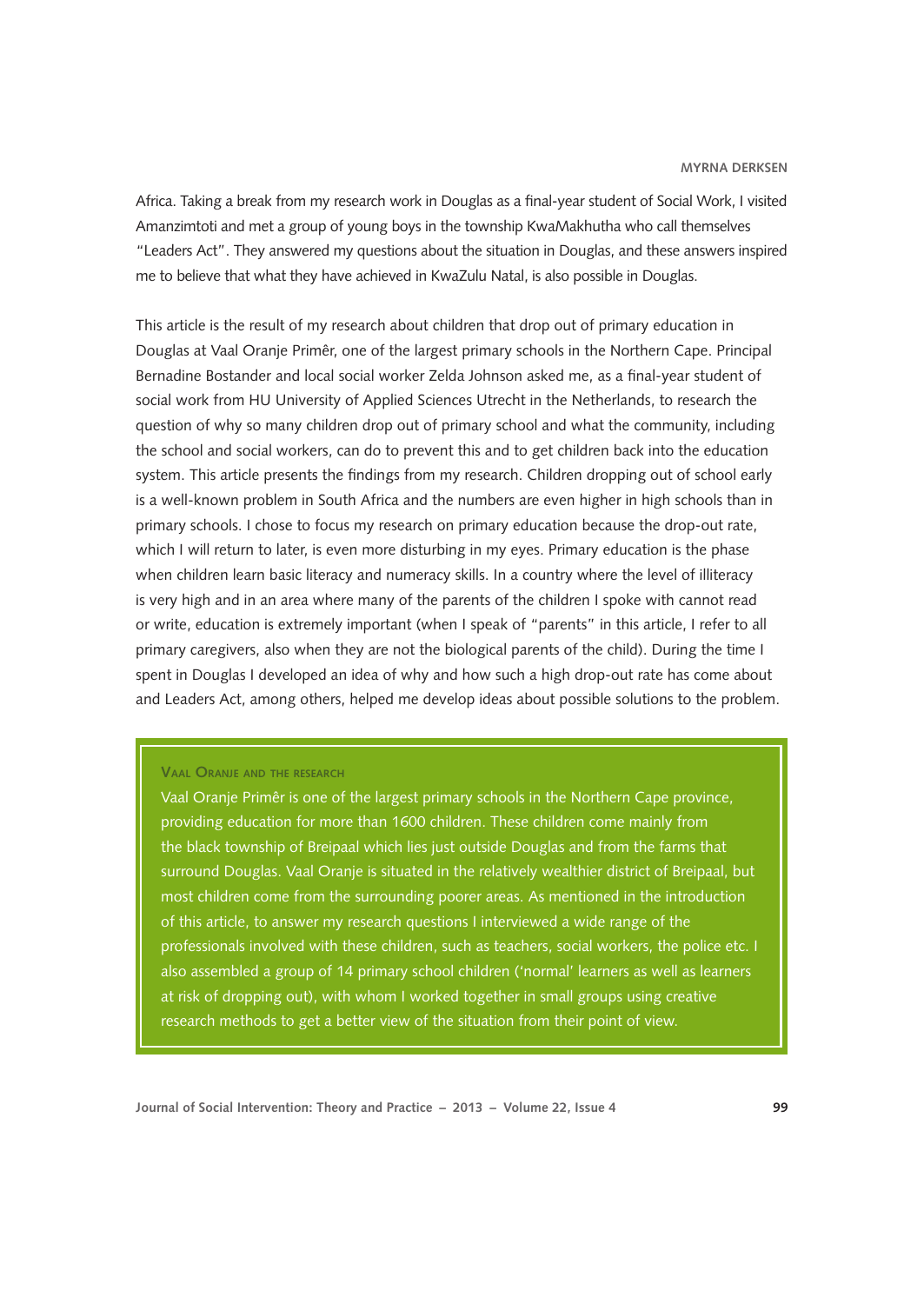Africa. Taking a break from my research work in Douglas as a final-year student of Social Work, I visited Amanzimtoti and met a group of young boys in the township KwaMakhutha who call themselves "Leaders Act". They answered my questions about the situation in Douglas, and these answers inspired me to believe that what they have achieved in KwaZulu Natal, is also possible in Douglas.

This article is the result of my research about children that drop out of primary education in Douglas at Vaal Oranje Primêr, one of the largest primary schools in the Northern Cape. Principal Bernadine Bostander and local social worker Zelda Johnson asked me, as a final-year student of social work from HU University of Applied Sciences Utrecht in the Netherlands, to research the question of why so many children drop out of primary school and what the community, including the school and social workers, can do to prevent this and to get children back into the education system. This article presents the findings from my research. Children dropping out of school early is a well-known problem in South Africa and the numbers are even higher in high schools than in primary schools. I chose to focus my research on primary education because the drop-out rate, which I will return to later, is even more disturbing in my eyes. Primary education is the phase when children learn basic literacy and numeracy skills. In a country where the level of illiteracy is very high and in an area where many of the parents of the children I spoke with cannot read or write, education is extremely important (when I speak of "parents" in this article, I refer to all primary caregivers, also when they are not the biological parents of the child). During the time I spent in Douglas I developed an idea of why and how such a high drop-out rate has come about and Leaders Act, among others, helped me develop ideas about possible solutions to the problem.

# **Vaal Oranje and the research**

Vaal Oranje Primêr is one of the largest primary schools in the Northern Cape province, providing education for more than 1600 children. These children come mainly from the black township of Breipaal which lies just outside Douglas and from the farms that surround Douglas. Vaal Oranje is situated in the relatively wealthier district of Breipaal, but most children come from the surrounding poorer areas. As mentioned in the introduction of this article, to answer my research questions I interviewed a wide range of the professionals involved with these children, such as teachers, social workers, the police etc. I also assembled a group of 14 primary school children ('normal' learners as well as learners at risk of dropping out), with whom I worked together in small groups using creative research methods to get a better view of the situation from their point of view.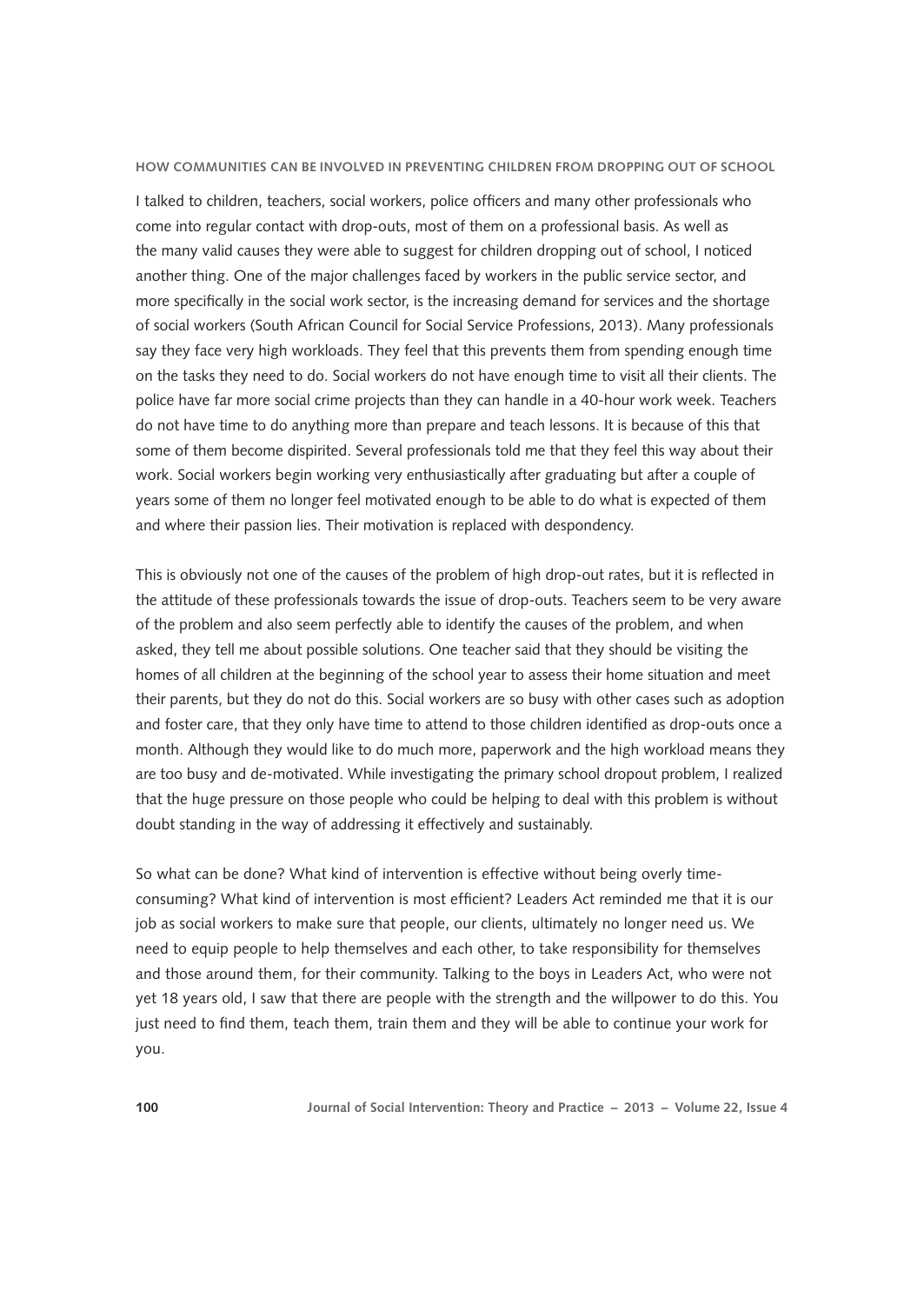I talked to children, teachers, social workers, police officers and many other professionals who come into regular contact with drop-outs, most of them on a professional basis. As well as the many valid causes they were able to suggest for children dropping out of school, I noticed another thing. One of the major challenges faced by workers in the public service sector, and more specifically in the social work sector, is the increasing demand for services and the shortage of social workers (South African Council for Social Service Professions, 2013). Many professionals say they face very high workloads. They feel that this prevents them from spending enough time on the tasks they need to do. Social workers do not have enough time to visit all their clients. The police have far more social crime projects than they can handle in a 40-hour work week. Teachers do not have time to do anything more than prepare and teach lessons. It is because of this that some of them become dispirited. Several professionals told me that they feel this way about their work. Social workers begin working very enthusiastically after graduating but after a couple of years some of them no longer feel motivated enough to be able to do what is expected of them and where their passion lies. Their motivation is replaced with despondency.

This is obviously not one of the causes of the problem of high drop-out rates, but it is reflected in the attitude of these professionals towards the issue of drop-outs. Teachers seem to be very aware of the problem and also seem perfectly able to identify the causes of the problem, and when asked, they tell me about possible solutions. One teacher said that they should be visiting the homes of all children at the beginning of the school year to assess their home situation and meet their parents, but they do not do this. Social workers are so busy with other cases such as adoption and foster care, that they only have time to attend to those children identified as drop-outs once a month. Although they would like to do much more, paperwork and the high workload means they are too busy and de-motivated. While investigating the primary school dropout problem, I realized that the huge pressure on those people who could be helping to deal with this problem is without doubt standing in the way of addressing it effectively and sustainably.

So what can be done? What kind of intervention is effective without being overly timeconsuming? What kind of intervention is most efficient? Leaders Act reminded me that it is our job as social workers to make sure that people, our clients, ultimately no longer need us. We need to equip people to help themselves and each other, to take responsibility for themselves and those around them, for their community. Talking to the boys in Leaders Act, who were not yet 18 years old, I saw that there are people with the strength and the willpower to do this. You just need to find them, teach them, train them and they will be able to continue your work for you.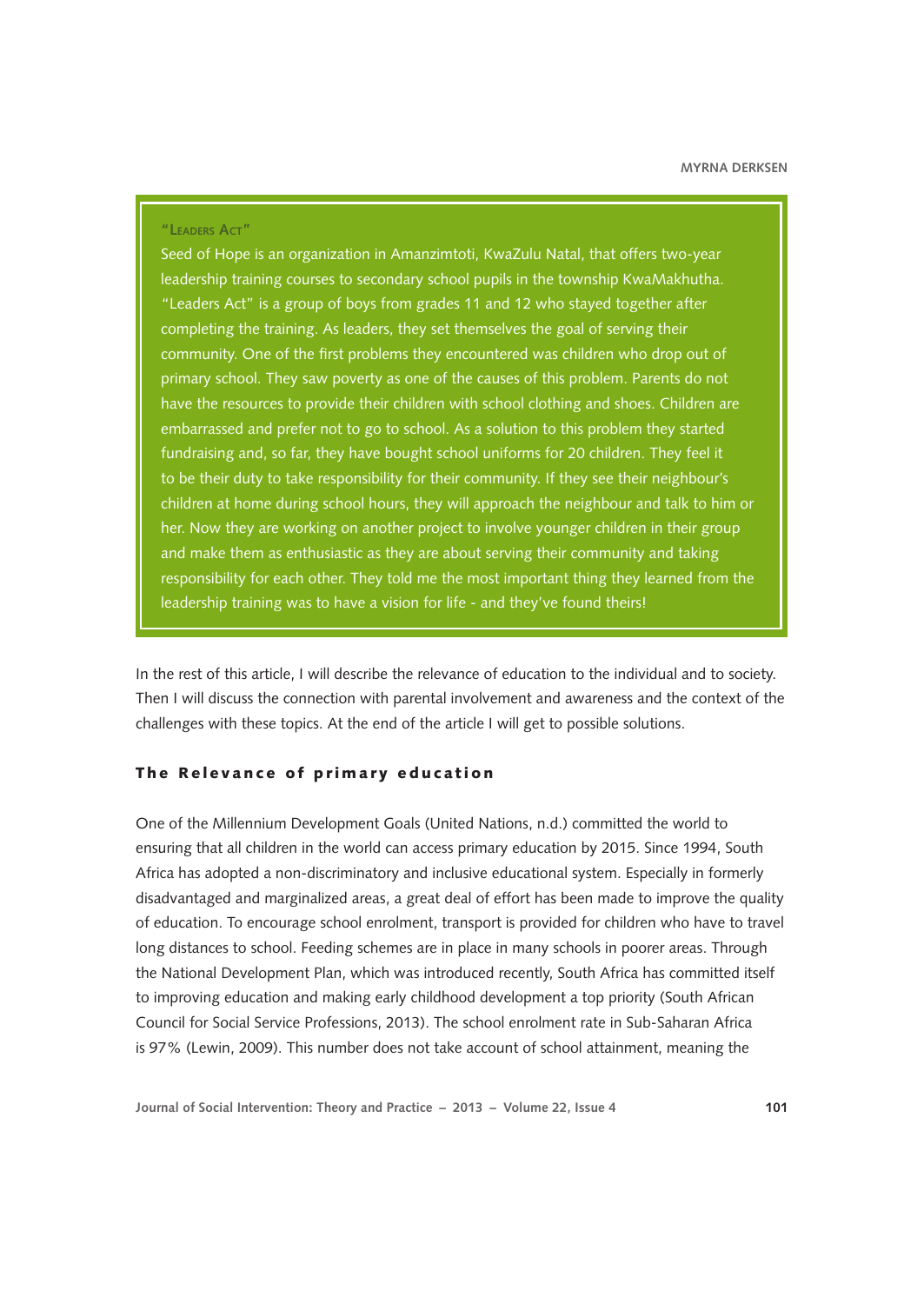#### **"Leaders Act"**

Seed of Hope is an organization in Amanzimtoti, KwaZulu Natal, that offers two-year leadership training courses to secondary school pupils in the township KwaMakhutha. "Leaders Act" is a group of boys from grades 11 and 12 who stayed together after completing the training. As leaders, they set themselves the goal of serving their community. One of the first problems they encountered was children who drop out of primary school. They saw poverty as one of the causes of this problem. Parents do not have the resources to provide their children with school clothing and shoes. Children are embarrassed and prefer not to go to school. As a solution to this problem they started fundraising and, so far, they have bought school uniforms for 20 children. They feel it to be their duty to take responsibility for their community. If they see their neighbour's children at home during school hours, they will approach the neighbour and talk to him or her. Now they are working on another project to involve younger children in their group and make them as enthusiastic as they are about serving their community and taking responsibility for each other. They told me the most important thing they learned from the leadership training was to have a vision for life - and they've found theirs!

In the rest of this article, I will describe the relevance of education to the individual and to society. Then I will discuss the connection with parental involvement and awareness and the context of the challenges with these topics. At the end of the article I will get to possible solutions.

## The Relevance of primary education

One of the Millennium Development Goals (United Nations, n.d.) committed the world to ensuring that all children in the world can access primary education by 2015. Since 1994, South Africa has adopted a non-discriminatory and inclusive educational system. Especially in formerly disadvantaged and marginalized areas, a great deal of effort has been made to improve the quality of education. To encourage school enrolment, transport is provided for children who have to travel long distances to school. Feeding schemes are in place in many schools in poorer areas. Through the National Development Plan, which was introduced recently, South Africa has committed itself to improving education and making early childhood development a top priority (South African Council for Social Service Professions, 2013). The school enrolment rate in Sub-Saharan Africa is 97% (Lewin, 2009). This number does not take account of school attainment, meaning the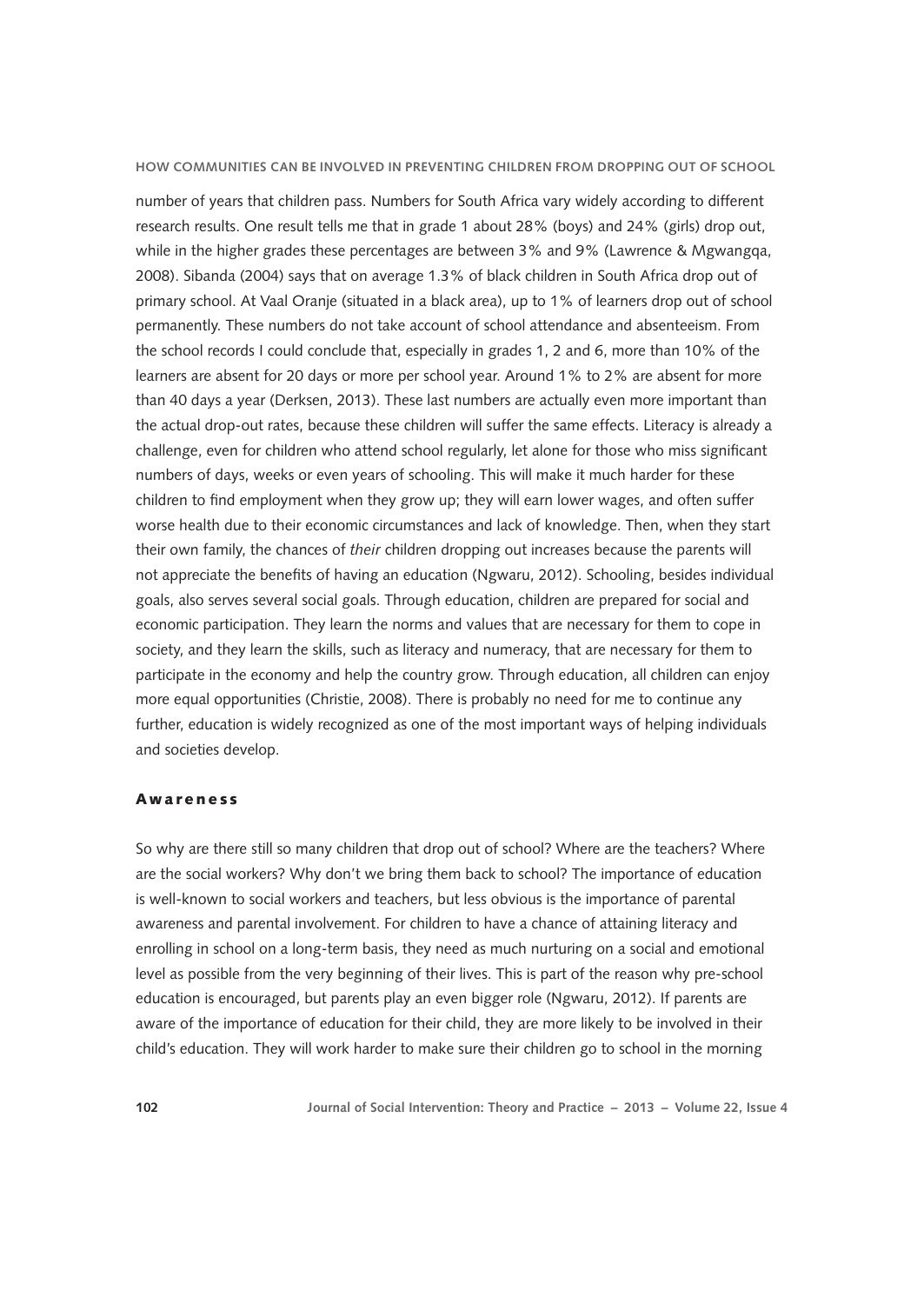number of years that children pass. Numbers for South Africa vary widely according to different research results. One result tells me that in grade 1 about 28% (boys) and 24% (girls) drop out, while in the higher grades these percentages are between 3% and 9% (Lawrence & Mgwangqa, 2008). Sibanda (2004) says that on average 1.3% of black children in South Africa drop out of primary school. At Vaal Oranje (situated in a black area), up to 1% of learners drop out of school permanently. These numbers do not take account of school attendance and absenteeism. From the school records I could conclude that, especially in grades 1, 2 and 6, more than 10% of the learners are absent for 20 days or more per school year. Around 1% to 2% are absent for more than 40 days a year (Derksen, 2013). These last numbers are actually even more important than the actual drop-out rates, because these children will suffer the same effects. Literacy is already a challenge, even for children who attend school regularly, let alone for those who miss significant numbers of days, weeks or even years of schooling. This will make it much harder for these children to find employment when they grow up; they will earn lower wages, and often suffer worse health due to their economic circumstances and lack of knowledge. Then, when they start their own family, the chances of *their* children dropping out increases because the parents will not appreciate the benefits of having an education (Ngwaru, 2012). Schooling, besides individual goals, also serves several social goals. Through education, children are prepared for social and economic participation. They learn the norms and values that are necessary for them to cope in society, and they learn the skills, such as literacy and numeracy, that are necessary for them to participate in the economy and help the country grow. Through education, all children can enjoy more equal opportunities (Christie, 2008). There is probably no need for me to continue any further, education is widely recognized as one of the most important ways of helping individuals and societies develop.

#### Awareness

So why are there still so many children that drop out of school? Where are the teachers? Where are the social workers? Why don't we bring them back to school? The importance of education is well-known to social workers and teachers, but less obvious is the importance of parental awareness and parental involvement. For children to have a chance of attaining literacy and enrolling in school on a long-term basis, they need as much nurturing on a social and emotional level as possible from the very beginning of their lives. This is part of the reason why pre-school education is encouraged, but parents play an even bigger role (Ngwaru, 2012). If parents are aware of the importance of education for their child, they are more likely to be involved in their child's education. They will work harder to make sure their children go to school in the morning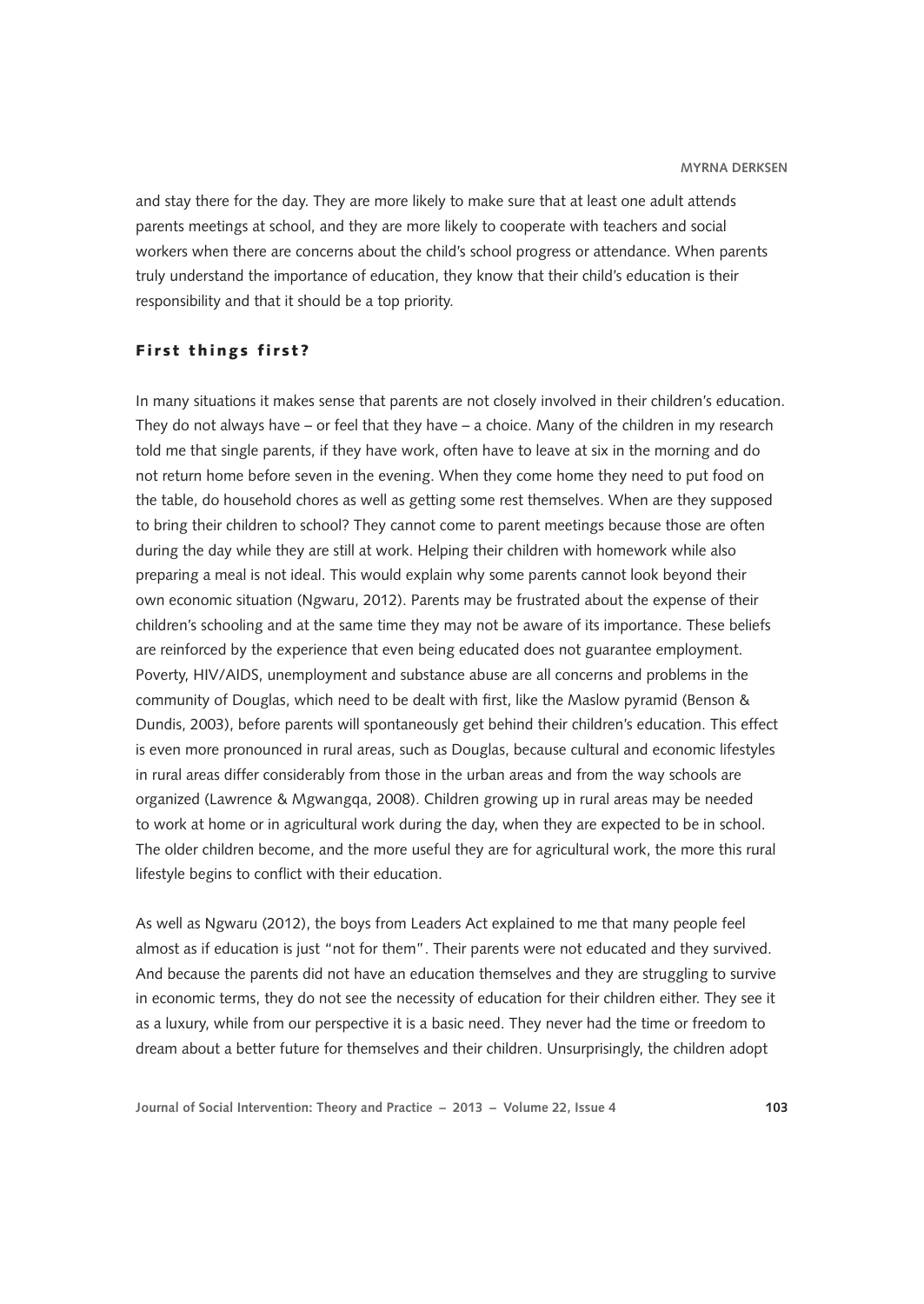and stay there for the day. They are more likely to make sure that at least one adult attends parents meetings at school, and they are more likely to cooperate with teachers and social workers when there are concerns about the child's school progress or attendance. When parents truly understand the importance of education, they know that their child's education is their responsibility and that it should be a top priority.

### First things first?

In many situations it makes sense that parents are not closely involved in their children's education. They do not always have – or feel that they have – a choice. Many of the children in my research told me that single parents, if they have work, often have to leave at six in the morning and do not return home before seven in the evening. When they come home they need to put food on the table, do household chores as well as getting some rest themselves. When are they supposed to bring their children to school? They cannot come to parent meetings because those are often during the day while they are still at work. Helping their children with homework while also preparing a meal is not ideal. This would explain why some parents cannot look beyond their own economic situation (Ngwaru, 2012). Parents may be frustrated about the expense of their children's schooling and at the same time they may not be aware of its importance. These beliefs are reinforced by the experience that even being educated does not guarantee employment. Poverty, HIV/AIDS, unemployment and substance abuse are all concerns and problems in the community of Douglas, which need to be dealt with first, like the Maslow pyramid (Benson & Dundis, 2003), before parents will spontaneously get behind their children's education. This effect is even more pronounced in rural areas, such as Douglas, because cultural and economic lifestyles in rural areas differ considerably from those in the urban areas and from the way schools are organized (Lawrence & Mgwangqa, 2008). Children growing up in rural areas may be needed to work at home or in agricultural work during the day, when they are expected to be in school. The older children become, and the more useful they are for agricultural work, the more this rural lifestyle begins to conflict with their education.

As well as Ngwaru (2012), the boys from Leaders Act explained to me that many people feel almost as if education is just "not for them". Their parents were not educated and they survived. And because the parents did not have an education themselves and they are struggling to survive in economic terms, they do not see the necessity of education for their children either. They see it as a luxury, while from our perspective it is a basic need. They never had the time or freedom to dream about a better future for themselves and their children. Unsurprisingly, the children adopt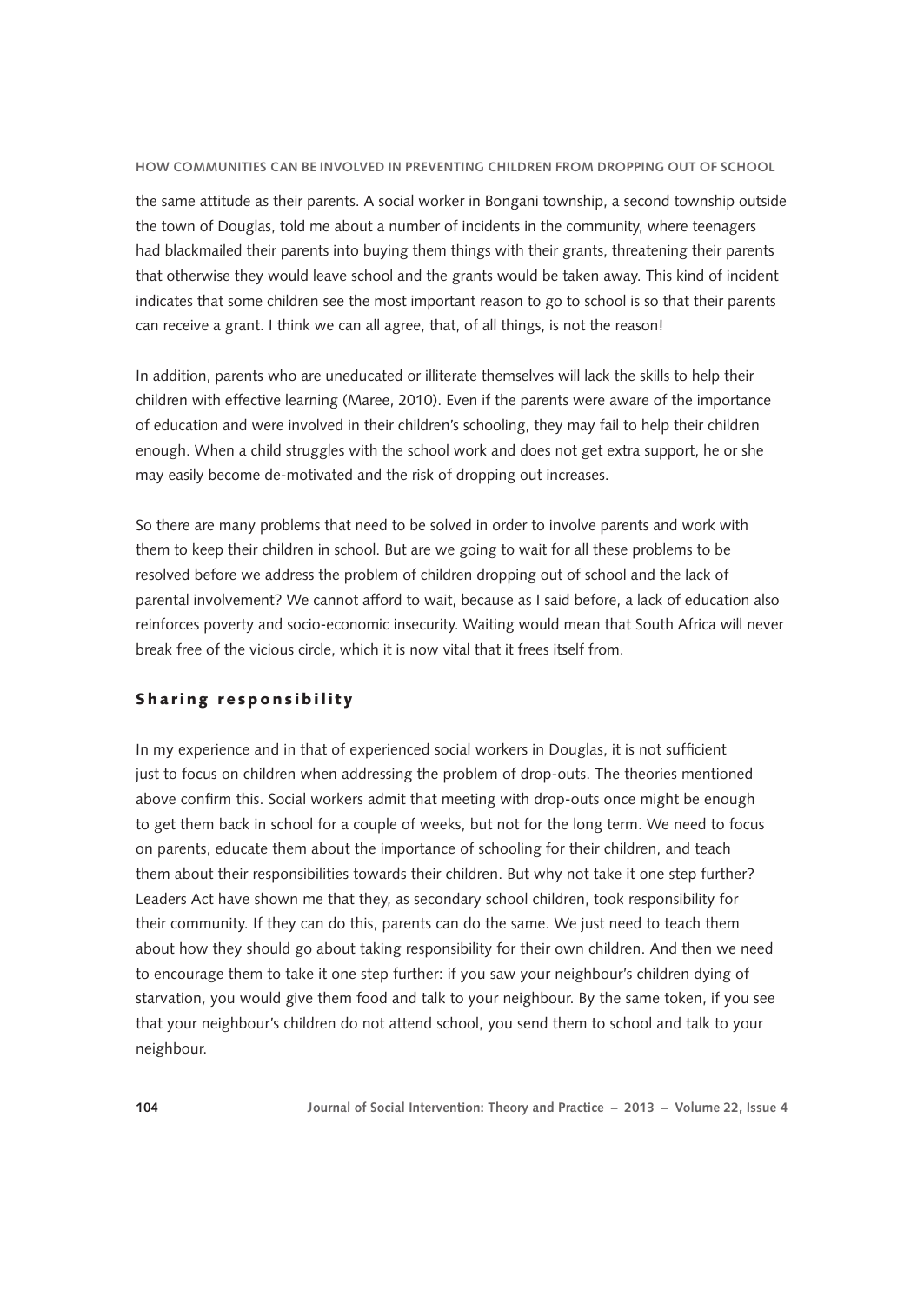the same attitude as their parents. A social worker in Bongani township, a second township outside the town of Douglas, told me about a number of incidents in the community, where teenagers had blackmailed their parents into buying them things with their grants, threatening their parents that otherwise they would leave school and the grants would be taken away. This kind of incident indicates that some children see the most important reason to go to school is so that their parents can receive a grant. I think we can all agree, that, of all things, is not the reason!

In addition, parents who are uneducated or illiterate themselves will lack the skills to help their children with effective learning (Maree, 2010). Even if the parents were aware of the importance of education and were involved in their children's schooling, they may fail to help their children enough. When a child struggles with the school work and does not get extra support, he or she may easily become de-motivated and the risk of dropping out increases.

So there are many problems that need to be solved in order to involve parents and work with them to keep their children in school. But are we going to wait for all these problems to be resolved before we address the problem of children dropping out of school and the lack of parental involvement? We cannot afford to wait, because as I said before, a lack of education also reinforces poverty and socio-economic insecurity. Waiting would mean that South Africa will never break free of the vicious circle, which it is now vital that it frees itself from.

## Sharing responsibility

In my experience and in that of experienced social workers in Douglas, it is not sufficient just to focus on children when addressing the problem of drop-outs. The theories mentioned above confirm this. Social workers admit that meeting with drop-outs once might be enough to get them back in school for a couple of weeks, but not for the long term. We need to focus on parents, educate them about the importance of schooling for their children, and teach them about their responsibilities towards their children. But why not take it one step further? Leaders Act have shown me that they, as secondary school children, took responsibility for their community. If they can do this, parents can do the same. We just need to teach them about how they should go about taking responsibility for their own children. And then we need to encourage them to take it one step further: if you saw your neighbour's children dying of starvation, you would give them food and talk to your neighbour. By the same token, if you see that your neighbour's children do not attend school, you send them to school and talk to your neighbour.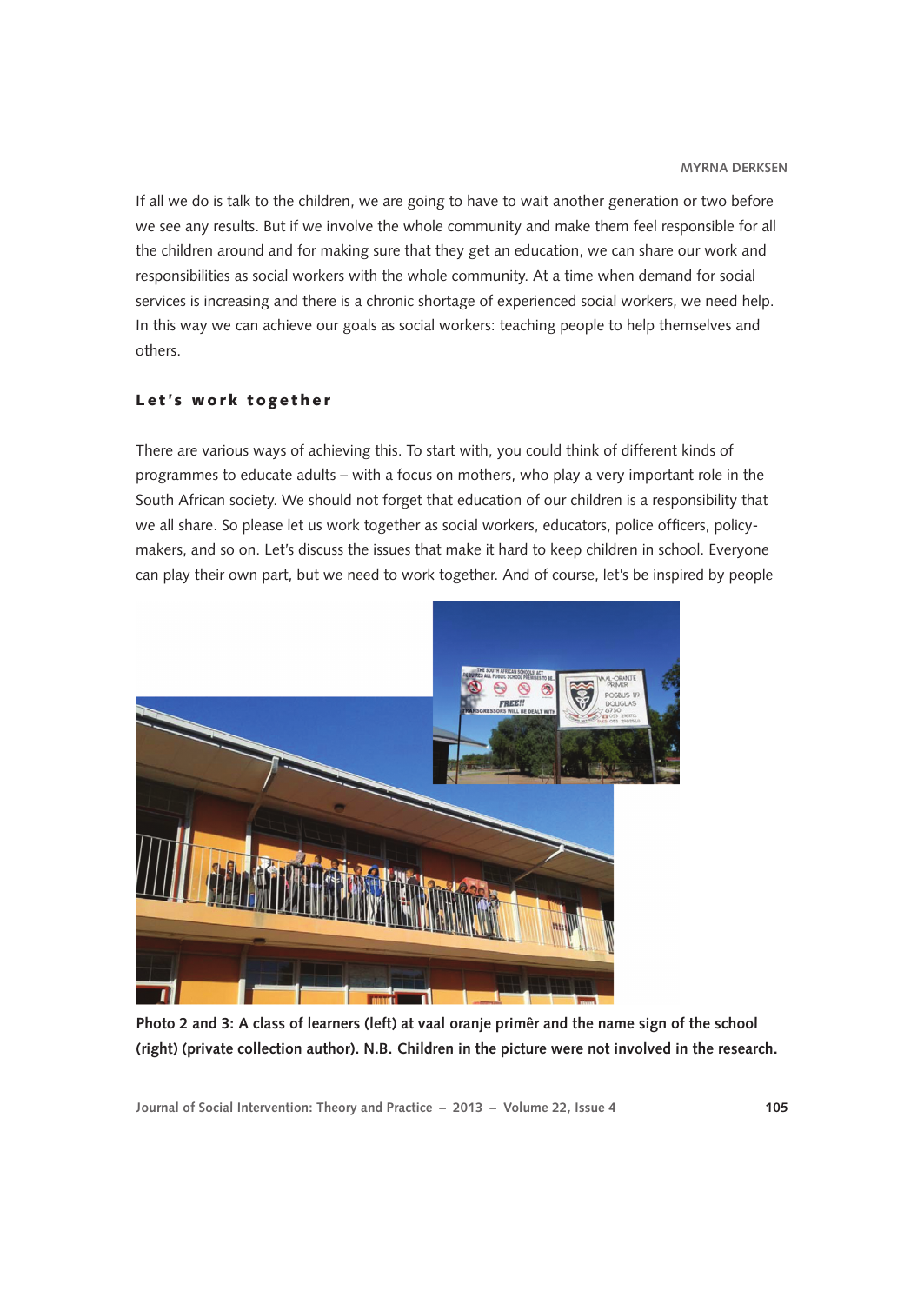If all we do is talk to the children, we are going to have to wait another generation or two before we see any results. But if we involve the whole community and make them feel responsible for all the children around and for making sure that they get an education, we can share our work and responsibilities as social workers with the whole community. At a time when demand for social services is increasing and there is a chronic shortage of experienced social workers, we need help. In this way we can achieve our goals as social workers: teaching people to help themselves and others.

## Let's work together

There are various ways of achieving this. To start with, you could think of different kinds of programmes to educate adults – with a focus on mothers, who play a very important role in the South African society. We should not forget that education of our children is a responsibility that we all share. So please let us work together as social workers, educators, police officers, policymakers, and so on. Let's discuss the issues that make it hard to keep children in school. Everyone can play their own part, but we need to work together. And of course, let's be inspired by people



**Photo 2 and 3: A class of learners (left) at vaal oranje primêr and the name sign of the school (right) (private collection author). N.B. Children in the picture were not involved in the research.**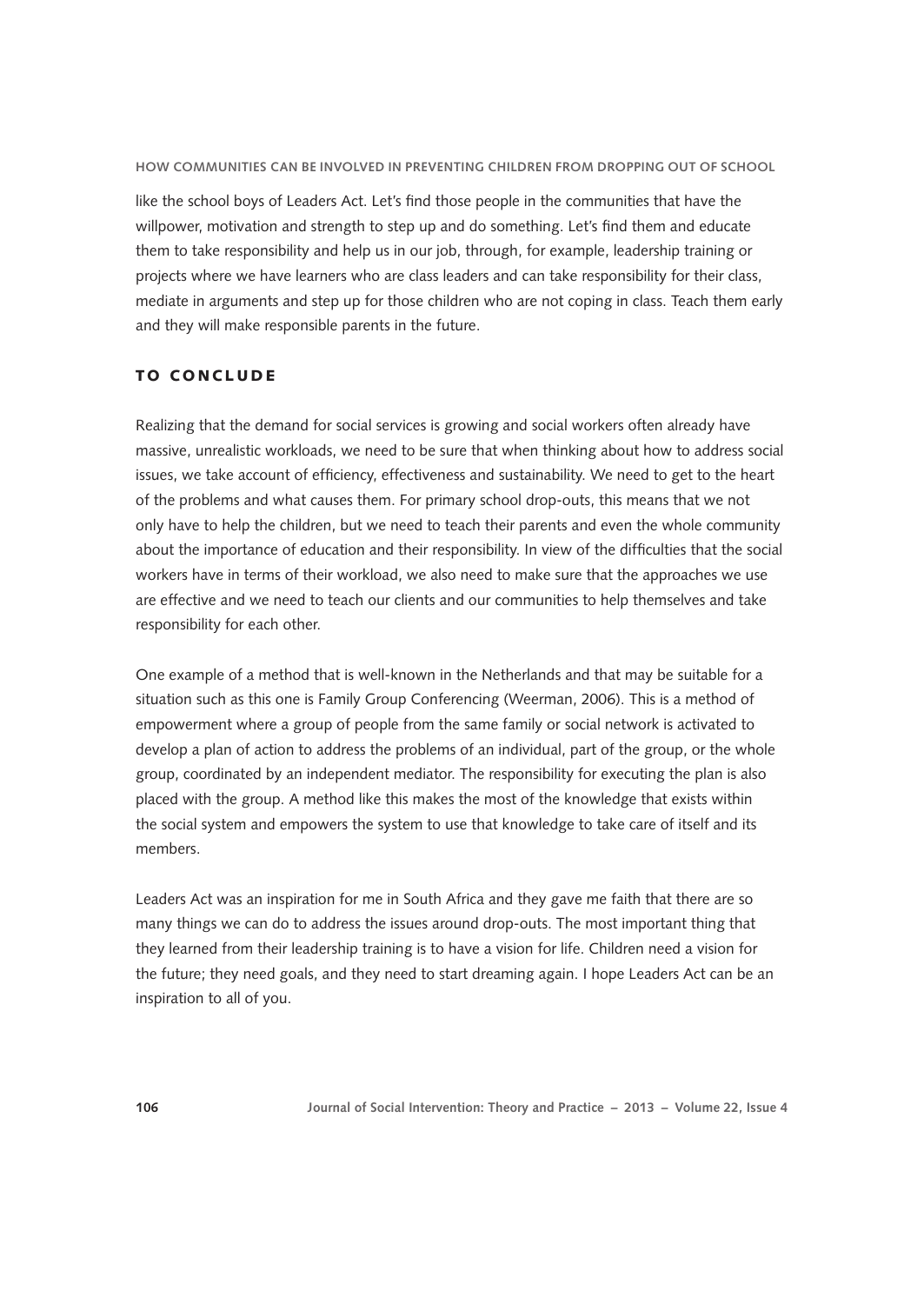like the school boys of Leaders Act. Let's find those people in the communities that have the willpower, motivation and strength to step up and do something. Let's find them and educate them to take responsibility and help us in our job, through, for example, leadership training or projects where we have learners who are class leaders and can take responsibility for their class, mediate in arguments and step up for those children who are not coping in class. Teach them early and they will make responsible parents in the future.

## TO CONCLUDE

Realizing that the demand for social services is growing and social workers often already have massive, unrealistic workloads, we need to be sure that when thinking about how to address social issues, we take account of efficiency, effectiveness and sustainability. We need to get to the heart of the problems and what causes them. For primary school drop-outs, this means that we not only have to help the children, but we need to teach their parents and even the whole community about the importance of education and their responsibility. In view of the difficulties that the social workers have in terms of their workload, we also need to make sure that the approaches we use are effective and we need to teach our clients and our communities to help themselves and take responsibility for each other.

One example of a method that is well-known in the Netherlands and that may be suitable for a situation such as this one is Family Group Conferencing (Weerman, 2006). This is a method of empowerment where a group of people from the same family or social network is activated to develop a plan of action to address the problems of an individual, part of the group, or the whole group, coordinated by an independent mediator. The responsibility for executing the plan is also placed with the group. A method like this makes the most of the knowledge that exists within the social system and empowers the system to use that knowledge to take care of itself and its members.

Leaders Act was an inspiration for me in South Africa and they gave me faith that there are so many things we can do to address the issues around drop-outs. The most important thing that they learned from their leadership training is to have a vision for life. Children need a vision for the future; they need goals, and they need to start dreaming again. I hope Leaders Act can be an inspiration to all of you.